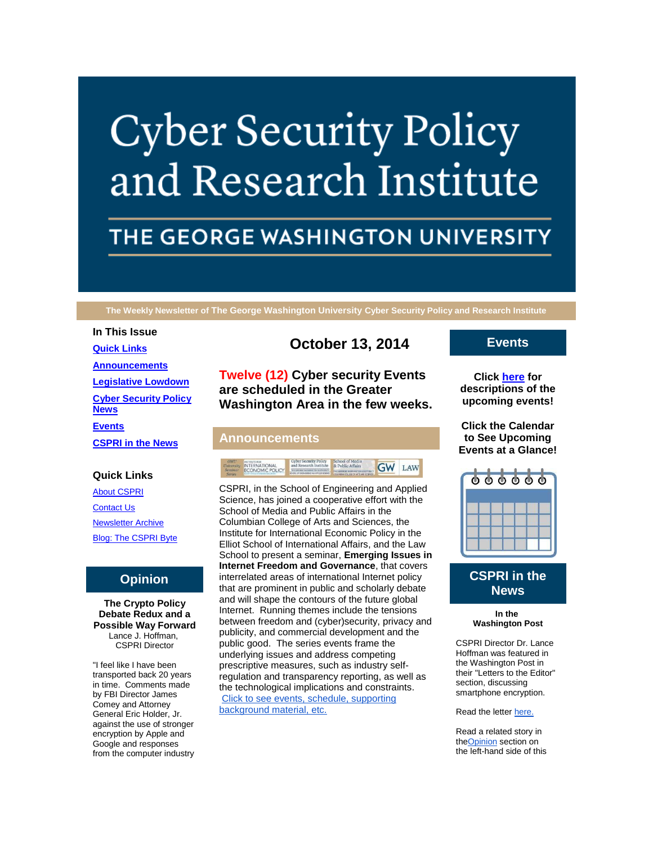# **Cyber Security Policy** and Research Institute

# THE GEORGE WASHINGTON UNIVERSITY

**The Weekly Newsletter of The George Washington University Cyber Security Policy and Research Institute**

# **In This Issue [Quick Links](https://mail.google.com/mail/u/0/#1490a70ad13241cf_LETTER.BLOCK5) [Announcements](https://mail.google.com/mail/u/0/#1490a70ad13241cf_LETTER.BLOCK26) [Legislative Lowdown](https://mail.google.com/mail/u/0/#1490a70ad13241cf_LETTER.BLOCK52) [Cyber Security Policy](https://mail.google.com/mail/u/0/#1490a70ad13241cf_LETTER.BLOCK53)  [News](https://mail.google.com/mail/u/0/#1490a70ad13241cf_LETTER.BLOCK53) [Events](https://mail.google.com/mail/u/0/#1490a70ad13241cf_LETTER.BLOCK30) [CSPRI in the News](https://mail.google.com/mail/u/0/#1490a70ad13241cf_LETTER.BLOCK33)**

#### **Quick Links**

[About CSPRI](http://r20.rs6.net/tn.jsp?f=001tem3vhZk-6rM3pvWlGCQD1H-Zfh_3x5ozhe1yi4K5J8YgRyPs863WW_oPGm_3j1MMtyXfz_kACDmJVkDt5APYbNuaUXSMgl18auWxVI51hV8XrDppvOG9lpYIUQxY1McAHvrdGW-ycN-SZGDJPpaefa26WcBFqRovObGbMWmMNKDDD-Vfoi5kvM28l8BEuq4&c=YnyYqgSAIcKmOO83J-UcAR_Paervd0i_H_u08qw5gQ3__znDJ6gF2g==&ch=KqW8oquvqUdL_Q4F8brh1dBxbPVgy5HAovuQA-Lzu0x93EQngHxMUw==) **[Contact Us](http://r20.rs6.net/tn.jsp?f=001tem3vhZk-6rM3pvWlGCQD1H-Zfh_3x5ozhe1yi4K5J8YgRyPs863WW_oPGm_3j1MG1oVr1tWeegRkikmmlvCEl1HTZKyRlePoptnc6NBN1B7ZviZWAnCCWsnWpAM8zO2EcGqnqJicHe_LBsz52eknitQDxXMQ1nc8Zf9giPt9JGje-PV3gzvK6Hmddd1kyxSJDWbruWzyl0=&c=YnyYqgSAIcKmOO83J-UcAR_Paervd0i_H_u08qw5gQ3__znDJ6gF2g==&ch=KqW8oquvqUdL_Q4F8brh1dBxbPVgy5HAovuQA-Lzu0x93EQngHxMUw==)** [Newsletter Archive](http://r20.rs6.net/tn.jsp?f=001tem3vhZk-6rM3pvWlGCQD1H-Zfh_3x5ozhe1yi4K5J8YgRyPs863WW_oPGm_3j1M-znAkaeqYoE_N3sSyX9DHELUmIES_wgnt8mGNrupQrYVfe2N4p6D7T89xQ4xvDpK93JqciPHQ0MRQYgWK1gkb4hB0NkQbXta5y3VpMsbZ7RQ8mKNEUfz8YfQOtjPnxH_cc8MBnEKQeM=&c=YnyYqgSAIcKmOO83J-UcAR_Paervd0i_H_u08qw5gQ3__znDJ6gF2g==&ch=KqW8oquvqUdL_Q4F8brh1dBxbPVgy5HAovuQA-Lzu0x93EQngHxMUw==) [Blog: The CSPRI Byte](http://r20.rs6.net/tn.jsp?f=001tem3vhZk-6rM3pvWlGCQD1H-Zfh_3x5ozhe1yi4K5J8YgRyPs863WW_oPGm_3j1MaOr_fXivkc-JHnep6HGJaTzXXo0XGIiF4UGsKAJn_9w9mzDVa6_ayEgBjqKeICwBrC5nc8Quv6o0PRJEwKuEuWXLy71oVjy1tOSAVPqgorrDfLSskqsJCLvJciKIyWD9&c=YnyYqgSAIcKmOO83J-UcAR_Paervd0i_H_u08qw5gQ3__znDJ6gF2g==&ch=KqW8oquvqUdL_Q4F8brh1dBxbPVgy5HAovuQA-Lzu0x93EQngHxMUw==)

# **Opinion**

**The Crypto Policy Debate Redux and a Possible Way Forward** Lance J. Hoffman, CSPRI Director

"I feel like I have been transported back 20 years in time. Comments made by FBI Director James Comey and Attorney General Eric Holder, Jr. against the use of stronger encryption by Apple and Google and responses from the computer industry

# **October 13, 2014**

**Twelve (12) Cyber security Events are scheduled in the Greater Washington Area in the few weeks.**

#### **Announcements**



CSPRI, in the School of Engineering and Applied Science, has joined a cooperative effort with the School of Media and Public Affairs in the Columbian College of Arts and Sciences, the Institute for International Economic Policy in the Elliot School of International Affairs, and the Law School to present a seminar, **Emerging Issues in Internet Freedom and Governance**, that covers interrelated areas of international Internet policy that are prominent in public and scholarly debate and will shape the contours of the future global Internet. Running themes include the tensions between freedom and (cyber)security, privacy and publicity, and commercial development and the public good. The series events frame the underlying issues and address competing prescriptive measures, such as industry selfregulation and transparency reporting, as well as the technological implications and constraints. [Click to see events, schedule, supporting](http://r20.rs6.net/tn.jsp?f=001tem3vhZk-6rM3pvWlGCQD1H-Zfh_3x5ozhe1yi4K5J8YgRyPs863WSlN3vEtG9XI-tcz3xlasqNfTfyTdxpK5EtIox06tmnXGJlLV1gaKdESWgwRCOga50KGOIoE2dPUtFYgTcyA1h-eGgK9thW40UZvFaB0ms6c_S5pmJftH9k=&c=YnyYqgSAIcKmOO83J-UcAR_Paervd0i_H_u08qw5gQ3__znDJ6gF2g==&ch=KqW8oquvqUdL_Q4F8brh1dBxbPVgy5HAovuQA-Lzu0x93EQngHxMUw==)  [background material, etc.](http://r20.rs6.net/tn.jsp?f=001tem3vhZk-6rM3pvWlGCQD1H-Zfh_3x5ozhe1yi4K5J8YgRyPs863WSlN3vEtG9XI-tcz3xlasqNfTfyTdxpK5EtIox06tmnXGJlLV1gaKdESWgwRCOga50KGOIoE2dPUtFYgTcyA1h-eGgK9thW40UZvFaB0ms6c_S5pmJftH9k=&c=YnyYqgSAIcKmOO83J-UcAR_Paervd0i_H_u08qw5gQ3__znDJ6gF2g==&ch=KqW8oquvqUdL_Q4F8brh1dBxbPVgy5HAovuQA-Lzu0x93EQngHxMUw==)

# **Events**

**Click [here](http://r20.rs6.net/tn.jsp?f=001tem3vhZk-6rM3pvWlGCQD1H-Zfh_3x5ozhe1yi4K5J8YgRyPs863WW_oPGm_3j1MDhicgabV9_aQtVvd25PQpituGUBsA6jFVNEx-QnsjCnlO0CAzwvCd4ZPo0y45CZ1qgHuqBYj_aShj5fKpELE8uFyHkMZnYGbRo6_3sYa06s-3zGzMYQYUw3URKrmDtozgOcrL7rHOv5Nb7wLxQg53g==&c=YnyYqgSAIcKmOO83J-UcAR_Paervd0i_H_u08qw5gQ3__znDJ6gF2g==&ch=KqW8oquvqUdL_Q4F8brh1dBxbPVgy5HAovuQA-Lzu0x93EQngHxMUw==) for descriptions of the upcoming events!**

**Click the Calendar to See Upcoming Events at a Glance!**



# **CSPRI in the News**

**In the Washington Post**

CSPRI Director Dr. Lance Hoffman was featured in the Washington Post in their "Letters to the Editor" section, discussing smartphone encryption.

Read the letter [here.](http://r20.rs6.net/tn.jsp?f=001tem3vhZk-6rM3pvWlGCQD1H-Zfh_3x5ozhe1yi4K5J8YgRyPs863WSlN3vEtG9XIc6UwBvW5SM-CGOKeS23LHBcyeogUnFlZI-vxglFFFpUN9fmndzyodHWLHV6JnLfSkLLEWfSxJTfqWXeIYatQzZxdxBqGDxMSHIqWr7sfQSholEkjlRbtTp8ivK_twHMjQBupqcx5dRgEubsaL-XwtR4NL_EXjSVZAzxkmOTvZO67G32pKvCgPc4LtlRYzpbXCMpB7f_w_JfullnPeYVnQSqNxj8mQGXdwtIOG4ph5fgdmyPBgdz54IUdrBt4KXGDZFCRUUzOFGSfJVXStqX3dLARq2nG-GhC&c=YnyYqgSAIcKmOO83J-UcAR_Paervd0i_H_u08qw5gQ3__znDJ6gF2g==&ch=KqW8oquvqUdL_Q4F8brh1dBxbPVgy5HAovuQA-Lzu0x93EQngHxMUw==)

Read a related story in th[eOpinion](https://mail.google.com/mail/u/0/#1490a70ad13241cf_Opinion) section on the left-hand side of this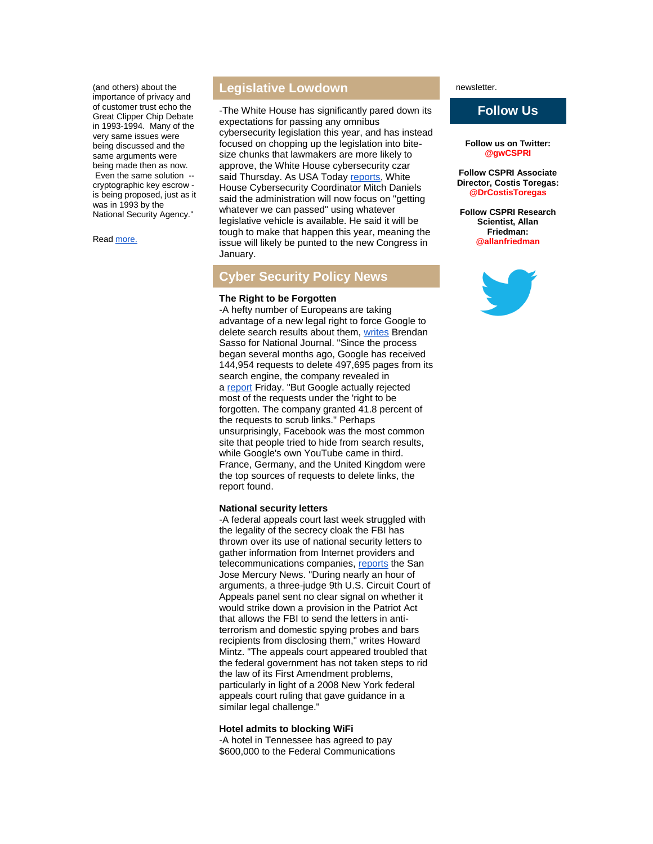(and others) about the importance of privacy and of customer trust echo the Great Clipper Chip Debate in 1993-1994. Many of the very same issues were being discussed and the same arguments were being made then as now. Even the same solution - cryptographic key escrow is being proposed, just as it was in 1993 by the National Security Agency."

Read [more.](http://r20.rs6.net/tn.jsp?f=001tem3vhZk-6rM3pvWlGCQD1H-Zfh_3x5ozhe1yi4K5J8YgRyPs863WSlN3vEtG9XIHavQZVC4I4ZSeHEeVbJTBmRmPkzPaZuGHztKnEjfLrW_-PlKeGNLF4BycFSp7y4ONv-dDU_k3uX8PpcdZDntnXJ4IIcd14Q2tK86M_6Uil7E9WfDXglfaE-nQhMHnqEtdbWT91ewwVI=&c=YnyYqgSAIcKmOO83J-UcAR_Paervd0i_H_u08qw5gQ3__znDJ6gF2g==&ch=KqW8oquvqUdL_Q4F8brh1dBxbPVgy5HAovuQA-Lzu0x93EQngHxMUw==)

# **Legislative Lowdown**

-The White House has significantly pared down its expectations for passing any omnibus cybersecurity legislation this year, and has instead focused on chopping up the legislation into bitesize chunks that lawmakers are more likely to approve, the White House cybersecurity czar said Thursday. As USA Today [reports,](http://r20.rs6.net/tn.jsp?f=001tem3vhZk-6rM3pvWlGCQD1H-Zfh_3x5ozhe1yi4K5J8YgRyPs863WSlN3vEtG9XI1oKiMcxMxp50IezxkljRgF4wivf_VP1vuMEt0QwwxSub7da8BWVOshGGbP71D5tqjXLsWMvXa5Vux1nsxfvMMaMtq-q7tvADQ_gIIgS-wh4boWa1d6Tht4P-_TbS5apaM3hfmdMPRmQK5UKT78dL7KuWa7gWGXk3D9rhhu3AAApTkV2bh82DJRHU7L1yQGvcwMXC4RLZwSy4Vra6bx2GYSQy7ic3qYUiJH64pIsODwiZLhuoBrtoNVjKC-rr4mzP&c=YnyYqgSAIcKmOO83J-UcAR_Paervd0i_H_u08qw5gQ3__znDJ6gF2g==&ch=KqW8oquvqUdL_Q4F8brh1dBxbPVgy5HAovuQA-Lzu0x93EQngHxMUw==) White House Cybersecurity Coordinator Mitch Daniels said the administration will now focus on "getting whatever we can passed" using whatever legislative vehicle is available. He said it will be tough to make that happen this year, meaning the issue will likely be punted to the new Congress in January.

# **Cyber Security Policy News**

#### **The Right to be Forgotten**

-A hefty number of Europeans are taking advantage of a new legal right to force Google to delete search results about them, [writes](http://r20.rs6.net/tn.jsp?f=001tem3vhZk-6rM3pvWlGCQD1H-Zfh_3x5ozhe1yi4K5J8YgRyPs863WSlN3vEtG9XIbxF_smN3PfLF0XjXLb5PvKAxx0Do2c0RRDDkx6u5D1d-LPDBNhv0N6SIQzY0sUmQzAQz47ZKyPZn3_McAcRuBZWcDX7CHEIdqE84NjVaxdFqY0CtlK3bnj-YT5tCKKBtDEPruLdWp9IZaDpPIiVykDYGlHOvpM-ngga4jO0C6xaG24AXnOVkiiljLM2RbMurTLttduVRDlYoHNixQbbP6OchD09RGbR6&c=YnyYqgSAIcKmOO83J-UcAR_Paervd0i_H_u08qw5gQ3__znDJ6gF2g==&ch=KqW8oquvqUdL_Q4F8brh1dBxbPVgy5HAovuQA-Lzu0x93EQngHxMUw==) Brendan Sasso for National Journal. "Since the process began several months ago, Google has received 144,954 requests to delete 497,695 pages from its search engine, the company revealed in a [report](http://r20.rs6.net/tn.jsp?f=001tem3vhZk-6rM3pvWlGCQD1H-Zfh_3x5ozhe1yi4K5J8YgRyPs863WSlN3vEtG9XId7ElzAYdfBzbw3AIwe4XsAR9YoT_zvrSEUTmVjjXq-n4YKHKluGda1Lt8j9cfAAHBdyvW8bd2FWwtTtzRvGSwJsopR_sYN86CPKA1tv5_VJbUQJ_D-fVbKokBuxDNvw98Uwt4iOyP6VgblkBkD2Zmmf9wY1xCyX-9iDovdwKb8ETQPw5QD4TJQ==&c=YnyYqgSAIcKmOO83J-UcAR_Paervd0i_H_u08qw5gQ3__znDJ6gF2g==&ch=KqW8oquvqUdL_Q4F8brh1dBxbPVgy5HAovuQA-Lzu0x93EQngHxMUw==) Friday. "But Google actually rejected most of the requests under the 'right to be forgotten. The company granted 41.8 percent of the requests to scrub links." Perhaps unsurprisingly, Facebook was the most common site that people tried to hide from search results, while Google's own YouTube came in third. France, Germany, and the United Kingdom were the top sources of requests to delete links, the report found.

#### **National security letters**

-A federal appeals court last week struggled with the legality of the secrecy cloak the FBI has thrown over its use of national security letters to gather information from Internet providers and telecommunications companies, [reports](http://r20.rs6.net/tn.jsp?f=001tem3vhZk-6rM3pvWlGCQD1H-Zfh_3x5ozhe1yi4K5J8YgRyPs863WSlN3vEtG9XIY8csh7sws3SxbrziXyE4YHuiTJXKNZqP2ilNwj2S9J5_Pz_060vqL6TvIEA29MvIo-DcfPlvJ4AXYnvKVySJgiqIrTEpbxaxCye7upC4xBvVjtLeNdEljNt-agpr7_Ww2F1vJdeUr-m5drzqlJpu1Q6ryX8ImXsvVEYgpVtns_A5Y9Tne_M9Hp0XZMajSww0OQ_CmaKx8uw=&c=YnyYqgSAIcKmOO83J-UcAR_Paervd0i_H_u08qw5gQ3__znDJ6gF2g==&ch=KqW8oquvqUdL_Q4F8brh1dBxbPVgy5HAovuQA-Lzu0x93EQngHxMUw==) the San Jose Mercury News. "During nearly an hour of arguments, a three-judge 9th U.S. Circuit Court of Appeals panel sent no clear signal on whether it would strike down a provision in the Patriot Act that allows the FBI to send the letters in antiterrorism and domestic spying probes and bars recipients from disclosing them," writes Howard Mintz. "The appeals court appeared troubled that the federal government has not taken steps to rid the law of its First Amendment problems, particularly in light of a 2008 New York federal appeals court ruling that gave guidance in a similar legal challenge."

#### **Hotel admits to blocking WiFi**

-A hotel in Tennessee has agreed to pay \$600,000 to the Federal Communications newsletter.

### **Follow Us**

**Follow us on Twitter: @gwCSPRI**

**Follow CSPRI Associate Director, Costis Toregas: @DrCostisToregas**

**Follow CSPRI Research Scientist, Allan Friedman: @allanfriedman**

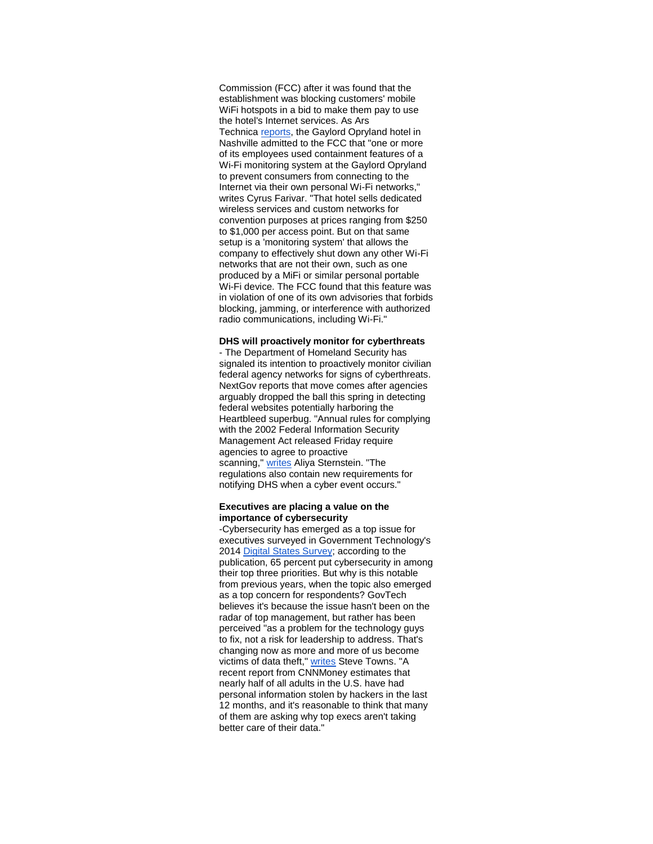Commission (FCC) after it was found that the establishment was blocking customers' mobile WiFi hotspots in a bid to make them pay to use the hotel's Internet services. As Ars Technica [reports,](http://r20.rs6.net/tn.jsp?f=001tem3vhZk-6rM3pvWlGCQD1H-Zfh_3x5ozhe1yi4K5J8YgRyPs863WSlN3vEtG9XIBm7bIEDgPvfFCQdgKLL0Q1_aGY0knqXaHf3Z3cogrit5tcOMPgN9od1fsijStIYvHJH0ZUtNys3CWM-bk9FfZH8kn0IyxHGi0zw9EnkAv6ohQ_83wzE8ORvBDe435EtGW4k1zY8IpUJeF9ysjlhYujgZE6oJHhs2JgHx2d03K3E9H-w_oljaGwxojMwZL0hhZKyxl6_AGbTxWGu8ebjfHygYxHX_A5_BAG3HWAYRsb8=&c=YnyYqgSAIcKmOO83J-UcAR_Paervd0i_H_u08qw5gQ3__znDJ6gF2g==&ch=KqW8oquvqUdL_Q4F8brh1dBxbPVgy5HAovuQA-Lzu0x93EQngHxMUw==) the Gaylord Opryland hotel in Nashville admitted to the FCC that "one or more of its employees used containment features of a Wi-Fi monitoring system at the Gaylord Opryland to prevent consumers from connecting to the Internet via their own personal Wi-Fi networks," writes Cyrus Farivar. "That hotel sells dedicated wireless services and custom networks for convention purposes at prices ranging from \$250 to \$1,000 per access point. But on that same setup is a 'monitoring system' that allows the company to effectively shut down any other Wi-Fi networks that are not their own, such as one produced by a MiFi or similar personal portable Wi-Fi device. The FCC found that this feature was in violation of one of its own advisories that forbids blocking, jamming, or interference with authorized radio communications, including Wi-Fi."

#### **DHS will proactively monitor for cyberthreats**

- The Department of Homeland Security has signaled its intention to proactively monitor civilian federal agency networks for signs of cyberthreats. NextGov reports that move comes after agencies arguably dropped the ball this spring in detecting federal websites potentially harboring the Heartbleed superbug. "Annual rules for complying with the 2002 Federal Information Security Management Act released Friday require agencies to agree to proactive scanning," [writes](http://r20.rs6.net/tn.jsp?f=001tem3vhZk-6rM3pvWlGCQD1H-Zfh_3x5ozhe1yi4K5J8YgRyPs863WSlN3vEtG9XINRkKtThFocLJWrHw_9n6NBFLEs73h_Nr99BRG9414gAY6YPJjMhrdSMh_H_MPDvF_pSGBUwEadkrh9xBpXreuWFRD1afpJOi2f79-KqxoiJniGTO8p-Y3nA7TBtT_ENiahE463zX4Ph4EVNxyqMAOSRtSyJ9ynbfcz7iudc7MAQqSATF2b8Dj6k29XUN_9rVmyMNJNv9xkMTyzAh9IYDa005RGn3wJfc6gcWvGyOTBTHZYAvfpw9cQlMEqe9VN941ETNB8_l7X9E5UlxNOad_SkRip1H16h719GZyOGa1gE=&c=YnyYqgSAIcKmOO83J-UcAR_Paervd0i_H_u08qw5gQ3__znDJ6gF2g==&ch=KqW8oquvqUdL_Q4F8brh1dBxbPVgy5HAovuQA-Lzu0x93EQngHxMUw==) Aliya Sternstein. "The regulations also contain new requirements for notifying DHS when a cyber event occurs."

#### **Executives are placing a value on the importance of cybersecurity**

-Cybersecurity has emerged as a top issue for executives surveyed in Government Technology's 2014 [Digital States Survey;](http://r20.rs6.net/tn.jsp?f=001tem3vhZk-6rM3pvWlGCQD1H-Zfh_3x5ozhe1yi4K5J8YgRyPs863WSlN3vEtG9XIQHSlp-Fjno3CcZBFe5svVD3onLjn7UlzVneVx0h8dC2Bs5vLg-Vs6Ps3rGSfrzMCp_1QeyqnHMEgeP-PaQkVux7u997pBrv7HE6DtFhgvosJtVHRe0aWYfv88U0wdW4gH8rmeebRaY727g0WqDs4qsWKJzrJs8oH0OdExfFjj6rkZI4i5SCwbbwgypu34SNAgIsAhBuy96Y=&c=YnyYqgSAIcKmOO83J-UcAR_Paervd0i_H_u08qw5gQ3__znDJ6gF2g==&ch=KqW8oquvqUdL_Q4F8brh1dBxbPVgy5HAovuQA-Lzu0x93EQngHxMUw==) according to the publication, 65 percent put cybersecurity in among their top three priorities. But why is this notable from previous years, when the topic also emerged as a top concern for respondents? GovTech believes it's because the issue hasn't been on the radar of top management, but rather has been perceived "as a problem for the technology guys to fix, not a risk for leadership to address. That's changing now as more and more of us become victims of data theft," [writes](http://r20.rs6.net/tn.jsp?f=001tem3vhZk-6rM3pvWlGCQD1H-Zfh_3x5ozhe1yi4K5J8YgRyPs863WSlN3vEtG9XIU2rvzfenLbsGkDmNGxbnEQI2weEMND7Ah8eO0MwRksczZwzI_RDEmEz0jTrXGBwSx9H6YWIF7wzksJ7IS9_KQ7nTmfHlTnMINYELcdbU0ROZTzytIoH_rdIIrwESgFq6-5zy7mKJklKSSUtL94dyPjFKIm4ykLUohEDo9F39v3Q=&c=YnyYqgSAIcKmOO83J-UcAR_Paervd0i_H_u08qw5gQ3__znDJ6gF2g==&ch=KqW8oquvqUdL_Q4F8brh1dBxbPVgy5HAovuQA-Lzu0x93EQngHxMUw==) Steve Towns. "A recent report from CNNMoney estimates that nearly half of all adults in the U.S. have had personal information stolen by hackers in the last 12 months, and it's reasonable to think that many of them are asking why top execs aren't taking better care of their data."